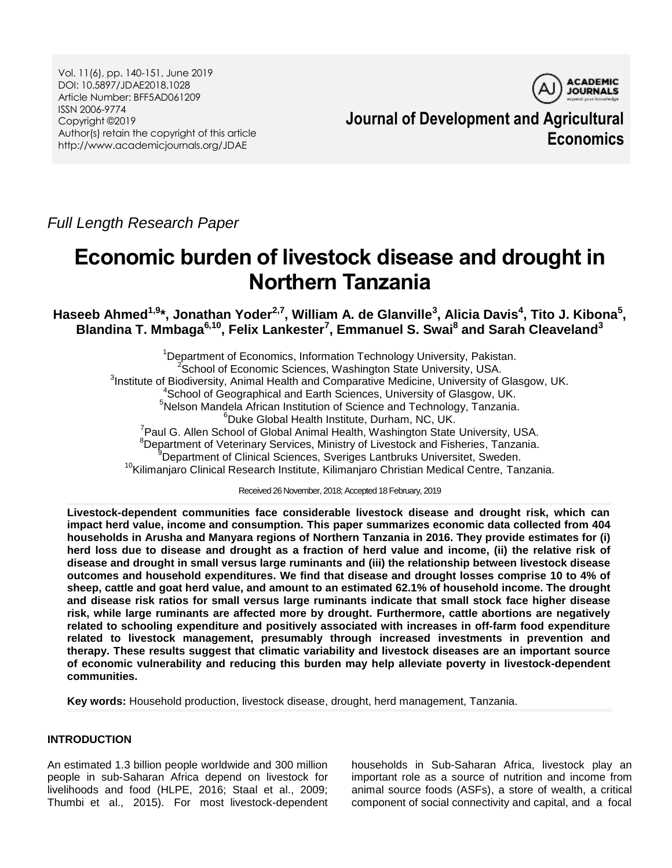Vol. 11(6), pp. 140-151, June 2019 DOI: 10.5897/JDAE2018.1028 Article Number: BFF5AD061209 ISSN 2006-9774 Copyright ©2019 Author(s) retain the copyright of this article http://www.academicjournals.org/JDAE



**Journal of Development and Agricultural Economics**

*Full Length Research Paper*

# **Economic burden of livestock disease and drought in Northern Tanzania**

**Haseeb Ahmed1,9 \*, Jonathan Yoder2,7 , William A. de Glanville<sup>3</sup> , Alicia Davis<sup>4</sup> , Tito J. Kibona<sup>5</sup> , Blandina T. Mmbaga6,10 , Felix Lankester<sup>7</sup> , Emmanuel S. Swai<sup>8</sup> and Sarah Cleaveland<sup>3</sup>**

<sup>1</sup>Department of Economics, Information Technology University, Pakistan. <sup>2</sup>School of Economic Sciences, Washington State University, USA. <sup>3</sup>Institute of Biodiversity, Animal Health and Comparative Medicine, University of Glasgow, UK. 4 School of Geographical and Earth Sciences, University of Glasgow, UK. <sup>5</sup>Nelson Mandela African Institution of Science and Technology, Tanzania.  $6$ Duke Global Health Institute, Durham, NC, UK, <sup>7</sup> Paul G. Allen School of Global Animal Health, Washington State University, USA. <sup>8</sup>Department of Veterinary Services, Ministry of Livestock and Fisheries, Tanzania. <sup>9</sup>Department of Clinical Sciences, Sveriges Lantbruks Universitet, Sweden. <sup>10</sup>Kilimanjaro Clinical Research Institute, Kilimanjaro Christian Medical Centre, Tanzania.

Received 26 November, 2018; Accepted 18 February, 2019

**Livestock-dependent communities face considerable livestock disease and drought risk, which can impact herd value, income and consumption. This paper summarizes economic data collected from 404 households in Arusha and Manyara regions of Northern Tanzania in 2016. They provide estimates for (i) herd loss due to disease and drought as a fraction of herd value and income, (ii) the relative risk of disease and drought in small versus large ruminants and (iii) the relationship between livestock disease outcomes and household expenditures. We find that disease and drought losses comprise 10 to 4% of sheep, cattle and goat herd value, and amount to an estimated 62.1% of household income. The drought and disease risk ratios for small versus large ruminants indicate that small stock face higher disease risk, while large ruminants are affected more by drought. Furthermore, cattle abortions are negatively related to schooling expenditure and positively associated with increases in off-farm food expenditure related to livestock management, presumably through increased investments in prevention and therapy. These results suggest that climatic variability and livestock diseases are an important source of economic vulnerability and reducing this burden may help alleviate poverty in livestock-dependent communities.** 

**Key words:** Household production, livestock disease, drought, herd management, Tanzania.

# **INTRODUCTION**

An estimated 1.3 billion people worldwide and 300 million people in sub-Saharan Africa depend on livestock for livelihoods and food (HLPE, 2016; Staal et al., 2009; Thumbi et al., 2015). For most livestock-dependent

households in Sub-Saharan Africa, livestock play an important role as a source of nutrition and income from animal source foods (ASFs), a store of wealth, a critical component of social connectivity and capital, and a focal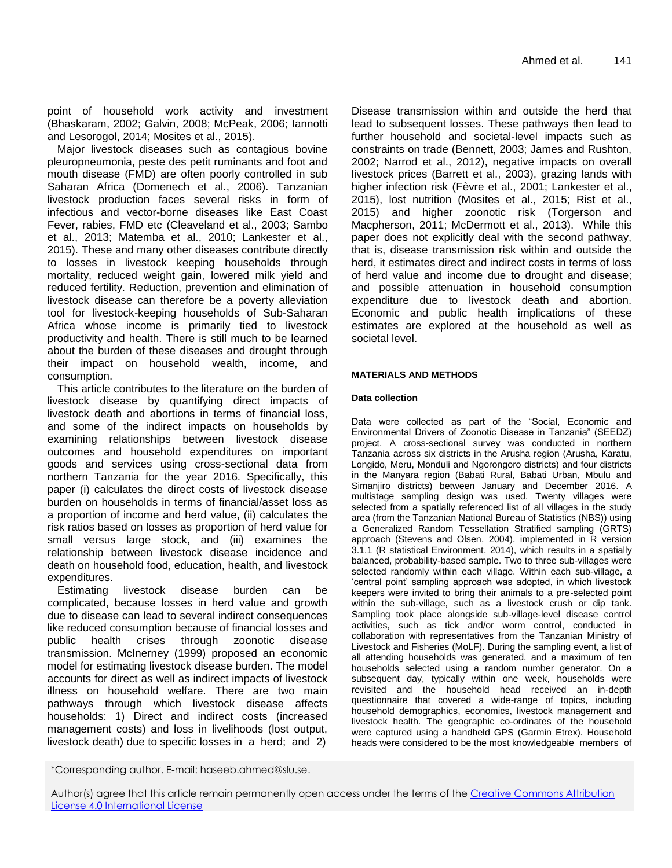point of household work activity and investment (Bhaskaram, 2002; Galvin, 2008; McPeak, 2006; Iannotti and Lesorogol, 2014; Mosites et al., 2015).

Major livestock diseases such as contagious bovine pleuropneumonia, peste des petit ruminants and foot and mouth disease (FMD) are often poorly controlled in sub Saharan Africa (Domenech et al., 2006). Tanzanian livestock production faces several risks in form of infectious and vector-borne diseases like East Coast Fever, rabies, FMD etc (Cleaveland et al., 2003; Sambo et al., 2013; Matemba et al., 2010; Lankester et al., 2015). These and many other diseases contribute directly to losses in livestock keeping households through mortality, reduced weight gain, lowered milk yield and reduced fertility. Reduction, prevention and elimination of livestock disease can therefore be a poverty alleviation tool for livestock-keeping households of Sub-Saharan Africa whose income is primarily tied to livestock productivity and health. There is still much to be learned about the burden of these diseases and drought through their impact on household wealth, income, and consumption.

This article contributes to the literature on the burden of livestock disease by quantifying direct impacts of livestock death and abortions in terms of financial loss, and some of the indirect impacts on households by examining relationships between livestock disease outcomes and household expenditures on important goods and services using cross-sectional data from northern Tanzania for the year 2016. Specifically, this paper (i) calculates the direct costs of livestock disease burden on households in terms of financial/asset loss as a proportion of income and herd value, (ii) calculates the risk ratios based on losses as proportion of herd value for small versus large stock, and (iii) examines the relationship between livestock disease incidence and death on household food, education, health, and livestock expenditures.

Estimating livestock disease burden can be complicated, because losses in herd value and growth due to disease can lead to several indirect consequences like reduced consumption because of financial losses and public health crises through zoonotic disease transmission. McInerney (1999) proposed an economic model for estimating livestock disease burden. The model accounts for direct as well as indirect impacts of livestock illness on household welfare. There are two main pathways through which livestock disease affects households: 1) Direct and indirect costs (increased management costs) and loss in livelihoods (lost output, livestock death) due to specific losses in a herd; and 2)

Disease transmission within and outside the herd that lead to subsequent losses. These pathways then lead to further household and societal-level impacts such as constraints on trade (Bennett, 2003; James and Rushton, 2002; Narrod et al., 2012), negative impacts on overall livestock prices (Barrett et al., 2003), grazing lands with higher infection risk (Fèvre et al., 2001; Lankester et al., 2015), lost nutrition (Mosites et al., 2015; Rist et al., 2015) and higher zoonotic risk (Torgerson and Macpherson, 2011; McDermott et al., 2013). While this paper does not explicitly deal with the second pathway, that is, disease transmission risk within and outside the herd, it estimates direct and indirect costs in terms of loss of herd value and income due to drought and disease; and possible attenuation in household consumption expenditure due to livestock death and abortion. Economic and public health implications of these estimates are explored at the household as well as societal level.

## **MATERIALS AND METHODS**

## **Data collection**

Data were collected as part of the "Social, Economic and Environmental Drivers of Zoonotic Disease in Tanzania" (SEEDZ) project. A cross-sectional survey was conducted in northern Tanzania across six districts in the Arusha region (Arusha, Karatu, Longido, Meru, Monduli and Ngorongoro districts) and four districts in the Manyara region (Babati Rural, Babati Urban, Mbulu and Simanjiro districts) between January and December 2016. A multistage sampling design was used. Twenty villages were selected from a spatially referenced list of all villages in the study area (from the Tanzanian National Bureau of Statistics (NBS)) using a Generalized Random Tessellation Stratified sampling (GRTS) approach (Stevens and Olsen, 2004), implemented in R version 3.1.1 (R statistical Environment, 2014), which results in a spatially balanced, probability-based sample. Two to three sub-villages were selected randomly within each village. Within each sub-village, a "central point" sampling approach was adopted, in which livestock keepers were invited to bring their animals to a pre-selected point within the sub-village, such as a livestock crush or dip tank. Sampling took place alongside sub-village-level disease control activities, such as tick and/or worm control, conducted in collaboration with representatives from the Tanzanian Ministry of Livestock and Fisheries (MoLF). During the sampling event, a list of all attending households was generated, and a maximum of ten households selected using a random number generator. On a subsequent day, typically within one week, households were revisited and the household head received an in-depth questionnaire that covered a wide-range of topics, including household demographics, economics, livestock management and livestock health. The geographic co-ordinates of the household were captured using a handheld GPS (Garmin Etrex). Household heads were considered to be the most knowledgeable members of

Author(s) agree that this article remain permanently open access under the terms of the Creative Commons Attribution [License 4.0 International License](http://creativecommons.org/licenses/by/4.0/deed.en_US)

<sup>\*</sup>Corresponding author. E-mail: haseeb.ahmed@slu.se.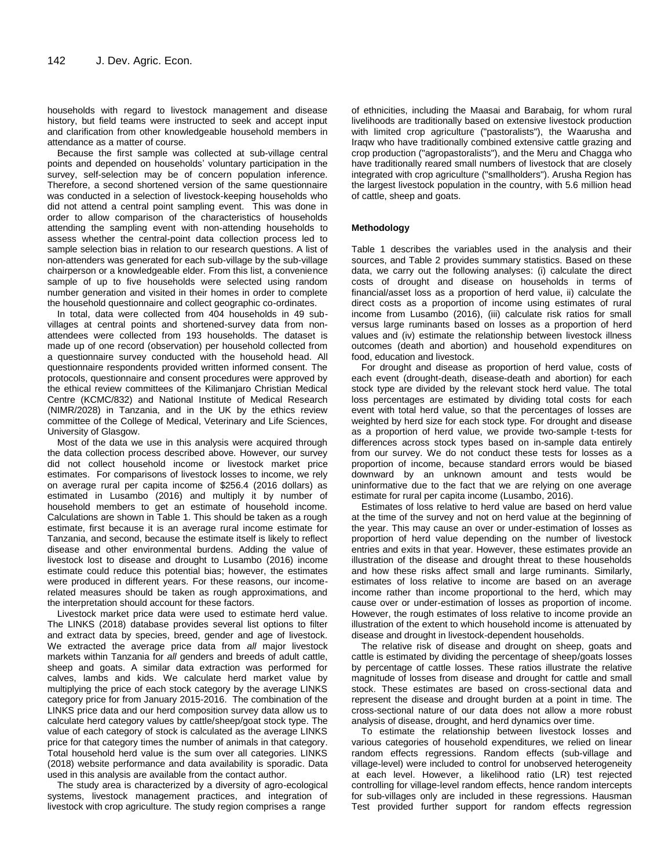households with regard to livestock management and disease history, but field teams were instructed to seek and accept input and clarification from other knowledgeable household members in attendance as a matter of course.

Because the first sample was collected at sub-village central points and depended on households" voluntary participation in the survey, self-selection may be of concern population inference. Therefore, a second shortened version of the same questionnaire was conducted in a selection of livestock-keeping households who did not attend a central point sampling event. This was done in order to allow comparison of the characteristics of households attending the sampling event with non-attending households to assess whether the central-point data collection process led to sample selection bias in relation to our research questions. A list of non-attenders was generated for each sub-village by the sub-village chairperson or a knowledgeable elder. From this list, a convenience sample of up to five households were selected using random number generation and visited in their homes in order to complete the household questionnaire and collect geographic co-ordinates.

In total, data were collected from 404 households in 49 subvillages at central points and shortened-survey data from nonattendees were collected from 193 households. The dataset is made up of one record (observation) per household collected from a questionnaire survey conducted with the household head. All questionnaire respondents provided written informed consent. The protocols, questionnaire and consent procedures were approved by the ethical review committees of the Kilimanjaro Christian Medical Centre (KCMC/832) and National Institute of Medical Research (NIMR/2028) in Tanzania, and in the UK by the ethics review committee of the College of Medical, Veterinary and Life Sciences, University of Glasgow.

Most of the data we use in this analysis were acquired through the data collection process described above. However, our survey did not collect household income or livestock market price estimates. For comparisons of livestock losses to income, we rely on average rural per capita income of \$256.4 (2016 dollars) as estimated in Lusambo (2016) and multiply it by number of household members to get an estimate of household income. Calculations are shown in Table 1. This should be taken as a rough estimate, first because it is an average rural income estimate for Tanzania, and second, because the estimate itself is likely to reflect disease and other environmental burdens. Adding the value of livestock lost to disease and drought to Lusambo (2016) income estimate could reduce this potential bias; however, the estimates were produced in different years. For these reasons, our incomerelated measures should be taken as rough approximations, and the interpretation should account for these factors.

Livestock market price data were used to estimate herd value. The LINKS (2018) database provides several list options to filter and extract data by species, breed, gender and age of livestock. We extracted the average price data from *all* major livestock markets within Tanzania for *all* genders and breeds of adult cattle, sheep and goats. A similar data extraction was performed for calves, lambs and kids. We calculate herd market value by multiplying the price of each stock category by the average LINKS category price for from January 2015-2016. The combination of the LINKS price data and our herd composition survey data allow us to calculate herd category values by cattle/sheep/goat stock type. The value of each category of stock is calculated as the average LINKS price for that category times the number of animals in that category. Total household herd value is the sum over all categories. LINKS (2018) website performance and data availability is sporadic. Data used in this analysis are available from the contact author.

The study area is characterized by a diversity of agro-ecological systems, livestock management practices, and integration of livestock with crop agriculture. The study region comprises a range

of ethnicities, including the Maasai and Barabaig, for whom rural livelihoods are traditionally based on extensive livestock production with limited crop agriculture ("pastoralists"), the Waarusha and Iraqw who have traditionally combined extensive cattle grazing and crop production ("agropastoralists"), and the Meru and Chagga who have traditionally reared small numbers of livestock that are closely integrated with crop agriculture ("smallholders"). Arusha Region has the largest livestock population in the country, with 5.6 million head of cattle, sheep and goats.

#### **Methodology**

Table 1 describes the variables used in the analysis and their sources, and Table 2 provides summary statistics. Based on these data, we carry out the following analyses: (i) calculate the direct costs of drought and disease on households in terms of financial/asset loss as a proportion of herd value, ii) calculate the direct costs as a proportion of income using estimates of rural income from Lusambo (2016), (iii) calculate risk ratios for small versus large ruminants based on losses as a proportion of herd values and (iv) estimate the relationship between livestock illness outcomes (death and abortion) and household expenditures on food, education and livestock.

For drought and disease as proportion of herd value, costs of each event (drought-death, disease-death and abortion) for each stock type are divided by the relevant stock herd value. The total loss percentages are estimated by dividing total costs for each event with total herd value, so that the percentages of losses are weighted by herd size for each stock type. For drought and disease as a proportion of herd value, we provide two-sample t-tests for differences across stock types based on in-sample data entirely from our survey. We do not conduct these tests for losses as a proportion of income, because standard errors would be biased downward by an unknown amount and tests would be uninformative due to the fact that we are relying on one average estimate for rural per capita income (Lusambo, 2016).

Estimates of loss relative to herd value are based on herd value at the time of the survey and not on herd value at the beginning of the year. This may cause an over or under-estimation of losses as proportion of herd value depending on the number of livestock entries and exits in that year. However, these estimates provide an illustration of the disease and drought threat to these households and how these risks affect small and large ruminants. Similarly, estimates of loss relative to income are based on an average income rather than income proportional to the herd, which may cause over or under-estimation of losses as proportion of income. However, the rough estimates of loss relative to income provide an illustration of the extent to which household income is attenuated by disease and drought in livestock-dependent households.

The relative risk of disease and drought on sheep, goats and cattle is estimated by dividing the percentage of sheep/goats losses by percentage of cattle losses. These ratios illustrate the relative magnitude of losses from disease and drought for cattle and small stock. These estimates are based on cross-sectional data and represent the disease and drought burden at a point in time. The cross-sectional nature of our data does not allow a more robust analysis of disease, drought, and herd dynamics over time.

To estimate the relationship between livestock losses and various categories of household expenditures, we relied on linear random effects regressions. Random effects (sub-village and village-level) were included to control for unobserved heterogeneity at each level. However, a likelihood ratio (LR) test rejected controlling for village-level random effects, hence random intercepts for sub-villages only are included in these regressions. Hausman Test provided further support for random effects regression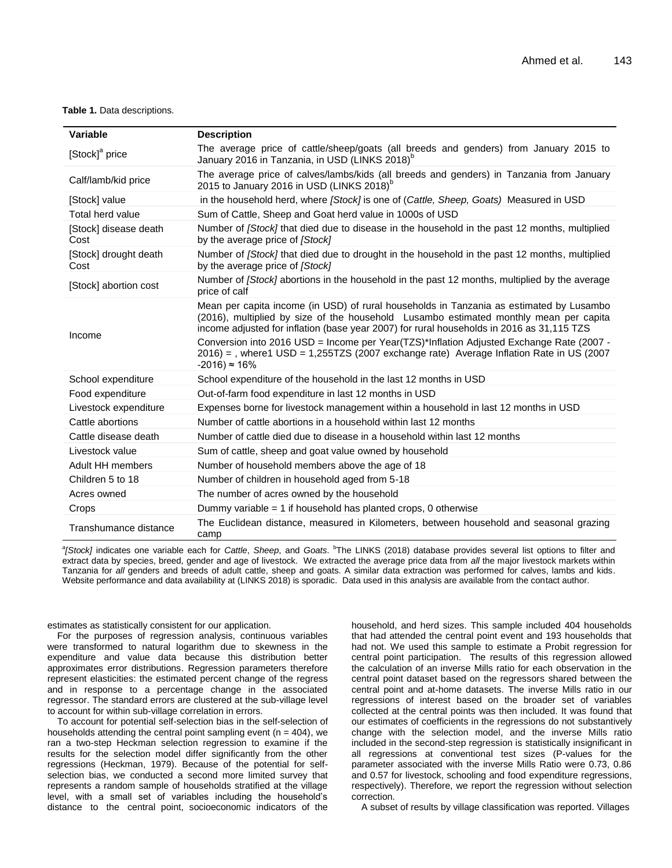#### **Table 1.** Data descriptions.

| Variable                      | <b>Description</b>                                                                                                                                                                                                                                                                                                                                                                                                                                                                           |
|-------------------------------|----------------------------------------------------------------------------------------------------------------------------------------------------------------------------------------------------------------------------------------------------------------------------------------------------------------------------------------------------------------------------------------------------------------------------------------------------------------------------------------------|
| [Stock] <sup>ª</sup> price    | The average price of cattle/sheep/goats (all breeds and genders) from January 2015 to<br>January 2016 in Tanzania, in USD (LINKS 2018) <sup>b</sup>                                                                                                                                                                                                                                                                                                                                          |
| Calf/lamb/kid price           | The average price of calves/lambs/kids (all breeds and genders) in Tanzania from January<br>2015 to January 2016 in USD (LINKS 2018) $^{\circ}$                                                                                                                                                                                                                                                                                                                                              |
| [Stock] value                 | in the household herd, where [Stock] is one of (Cattle, Sheep, Goats) Measured in USD                                                                                                                                                                                                                                                                                                                                                                                                        |
| Total herd value              | Sum of Cattle, Sheep and Goat herd value in 1000s of USD                                                                                                                                                                                                                                                                                                                                                                                                                                     |
| [Stock] disease death<br>Cost | Number of [Stock] that died due to disease in the household in the past 12 months, multiplied<br>by the average price of [Stock]                                                                                                                                                                                                                                                                                                                                                             |
| [Stock] drought death<br>Cost | Number of [Stock] that died due to drought in the household in the past 12 months, multiplied<br>by the average price of [Stock]                                                                                                                                                                                                                                                                                                                                                             |
| [Stock] abortion cost         | Number of [Stock] abortions in the household in the past 12 months, multiplied by the average<br>price of calf                                                                                                                                                                                                                                                                                                                                                                               |
| Income                        | Mean per capita income (in USD) of rural households in Tanzania as estimated by Lusambo<br>(2016), multiplied by size of the household Lusambo estimated monthly mean per capita<br>income adjusted for inflation (base year 2007) for rural households in 2016 as 31,115 TZS<br>Conversion into 2016 USD = Income per Year(TZS)*Inflation Adjusted Exchange Rate (2007 -<br>2016) = , where1 USD = 1,255TZS (2007 exchange rate) Average Inflation Rate in US (2007<br>$-2016 \approx 16\%$ |
| School expenditure            | School expenditure of the household in the last 12 months in USD                                                                                                                                                                                                                                                                                                                                                                                                                             |
| Food expenditure              | Out-of-farm food expenditure in last 12 months in USD                                                                                                                                                                                                                                                                                                                                                                                                                                        |
| Livestock expenditure         | Expenses borne for livestock management within a household in last 12 months in USD                                                                                                                                                                                                                                                                                                                                                                                                          |
| Cattle abortions              | Number of cattle abortions in a household within last 12 months                                                                                                                                                                                                                                                                                                                                                                                                                              |
| Cattle disease death          | Number of cattle died due to disease in a household within last 12 months                                                                                                                                                                                                                                                                                                                                                                                                                    |
| Livestock value               | Sum of cattle, sheep and goat value owned by household                                                                                                                                                                                                                                                                                                                                                                                                                                       |
| Adult HH members              | Number of household members above the age of 18                                                                                                                                                                                                                                                                                                                                                                                                                                              |
| Children 5 to 18              | Number of children in household aged from 5-18                                                                                                                                                                                                                                                                                                                                                                                                                                               |
| Acres owned                   | The number of acres owned by the household                                                                                                                                                                                                                                                                                                                                                                                                                                                   |
| Crops                         | Dummy variable = $1$ if household has planted crops, 0 otherwise                                                                                                                                                                                                                                                                                                                                                                                                                             |
| Transhumance distance         | The Euclidean distance, measured in Kilometers, between household and seasonal grazing<br>camp                                                                                                                                                                                                                                                                                                                                                                                               |

<sup>a</sup>[Stock] indicates one variable each for *Cattle*, *Sheep*, and *Goats*. <sup>b</sup>The LINKS (2018) database provides several list options to filter and extract data by species, breed, gender and age of livestock. We extracted the average price data from *all* the major livestock markets within Tanzania for *all* genders and breeds of adult cattle, sheep and goats. A similar data extraction was performed for calves, lambs and kids. Website performance and data availability at (LINKS 2018) is sporadic. Data used in this analysis are available from the contact author.

estimates as statistically consistent for our application.

For the purposes of regression analysis, continuous variables were transformed to natural logarithm due to skewness in the expenditure and value data because this distribution better approximates error distributions. Regression parameters therefore represent elasticities: the estimated percent change of the regress and in response to a percentage change in the associated regressor. The standard errors are clustered at the sub-village level to account for within sub-village correlation in errors.

To account for potential self-selection bias in the self-selection of households attending the central point sampling event  $(n = 404)$ , we ran a two-step Heckman selection regression to examine if the results for the selection model differ significantly from the other regressions (Heckman, 1979). Because of the potential for selfselection bias, we conducted a second more limited survey that represents a random sample of households stratified at the village level, with a small set of variables including the household"s distance to the central point, socioeconomic indicators of the

household, and herd sizes. This sample included 404 households that had attended the central point event and 193 households that had not. We used this sample to estimate a Probit regression for central point participation. The results of this regression allowed the calculation of an inverse Mills ratio for each observation in the central point dataset based on the regressors shared between the central point and at-home datasets. The inverse Mills ratio in our regressions of interest based on the broader set of variables collected at the central points was then included. It was found that our estimates of coefficients in the regressions do not substantively change with the selection model, and the inverse Mills ratio included in the second-step regression is statistically insignificant in all regressions at conventional test sizes (P-values for the parameter associated with the inverse Mills Ratio were 0.73, 0.86 and 0.57 for livestock, schooling and food expenditure regressions, respectively). Therefore, we report the regression without selection correction.

A subset of results by village classification was reported. Villages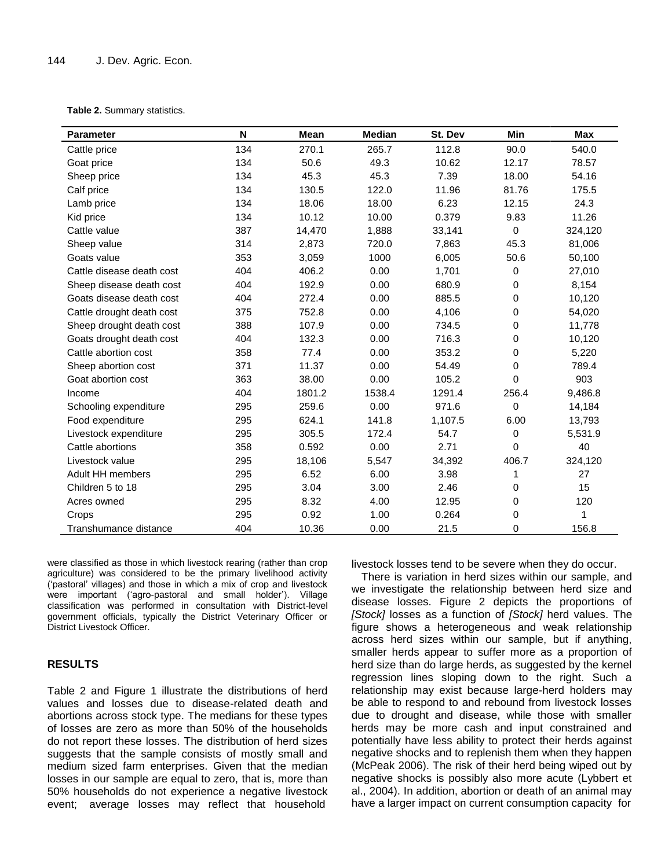**Table 2.** Summary statistics.

| <b>Parameter</b>          | N   | Mean   | <b>Median</b> | St. Dev | <b>Min</b>  | Max     |
|---------------------------|-----|--------|---------------|---------|-------------|---------|
| Cattle price              | 134 | 270.1  | 265.7         | 112.8   | 90.0        | 540.0   |
| Goat price                | 134 | 50.6   | 49.3          | 10.62   | 12.17       | 78.57   |
| Sheep price               | 134 | 45.3   | 45.3          | 7.39    | 18.00       | 54.16   |
| Calf price                | 134 | 130.5  | 122.0         | 11.96   | 81.76       | 175.5   |
| Lamb price                | 134 | 18.06  | 18.00         | 6.23    | 12.15       | 24.3    |
| Kid price                 | 134 | 10.12  | 10.00         | 0.379   | 9.83        | 11.26   |
| Cattle value              | 387 | 14,470 | 1,888         | 33,141  | $\Omega$    | 324,120 |
| Sheep value               | 314 | 2,873  | 720.0         | 7,863   | 45.3        | 81,006  |
| Goats value               | 353 | 3,059  | 1000          | 6,005   | 50.6        | 50,100  |
| Cattle disease death cost | 404 | 406.2  | 0.00          | 1,701   | $\mathbf 0$ | 27,010  |
| Sheep disease death cost  | 404 | 192.9  | 0.00          | 680.9   | 0           | 8,154   |
| Goats disease death cost  | 404 | 272.4  | 0.00          | 885.5   | 0           | 10,120  |
| Cattle drought death cost | 375 | 752.8  | 0.00          | 4,106   | 0           | 54,020  |
| Sheep drought death cost  | 388 | 107.9  | 0.00          | 734.5   | 0           | 11,778  |
| Goats drought death cost  | 404 | 132.3  | 0.00          | 716.3   | 0           | 10,120  |
| Cattle abortion cost      | 358 | 77.4   | 0.00          | 353.2   | 0           | 5,220   |
| Sheep abortion cost       | 371 | 11.37  | 0.00          | 54.49   | 0           | 789.4   |
| Goat abortion cost        | 363 | 38.00  | 0.00          | 105.2   | 0           | 903     |
| Income                    | 404 | 1801.2 | 1538.4        | 1291.4  | 256.4       | 9,486.8 |
| Schooling expenditure     | 295 | 259.6  | 0.00          | 971.6   | 0           | 14,184  |
| Food expenditure          | 295 | 624.1  | 141.8         | 1,107.5 | 6.00        | 13,793  |
| Livestock expenditure     | 295 | 305.5  | 172.4         | 54.7    | $\mathbf 0$ | 5,531.9 |
| Cattle abortions          | 358 | 0.592  | 0.00          | 2.71    | $\Omega$    | 40      |
| Livestock value           | 295 | 18,106 | 5,547         | 34,392  | 406.7       | 324,120 |
| Adult HH members          | 295 | 6.52   | 6.00          | 3.98    | 1           | 27      |
| Children 5 to 18          | 295 | 3.04   | 3.00          | 2.46    | $\mathbf 0$ | 15      |
| Acres owned               | 295 | 8.32   | 4.00          | 12.95   | 0           | 120     |
| Crops                     | 295 | 0.92   | 1.00          | 0.264   | 0           | 1       |
| Transhumance distance     | 404 | 10.36  | 0.00          | 21.5    | 0           | 156.8   |

were classified as those in which livestock rearing (rather than crop agriculture) was considered to be the primary livelihood activity ("pastoral" villages) and those in which a mix of crop and livestock were important ("agro-pastoral and small holder"). Village classification was performed in consultation with District-level government officials, typically the District Veterinary Officer or District Livestock Officer.

# **RESULTS**

Table 2 and Figure 1 illustrate the distributions of herd values and losses due to disease-related death and abortions across stock type. The medians for these types of losses are zero as more than 50% of the households do not report these losses. The distribution of herd sizes suggests that the sample consists of mostly small and medium sized farm enterprises. Given that the median losses in our sample are equal to zero, that is, more than 50% households do not experience a negative livestock event; average losses may reflect that household

livestock losses tend to be severe when they do occur.

There is variation in herd sizes within our sample, and we investigate the relationship between herd size and disease losses. Figure 2 depicts the proportions of *[Stock]* losses as a function of *[Stock]* herd values. The figure shows a heterogeneous and weak relationship across herd sizes within our sample, but if anything, smaller herds appear to suffer more as a proportion of herd size than do large herds, as suggested by the kernel regression lines sloping down to the right. Such a relationship may exist because large-herd holders may be able to respond to and rebound from livestock losses due to drought and disease, while those with smaller herds may be more cash and input constrained and potentially have less ability to protect their herds against negative shocks and to replenish them when they happen (McPeak 2006). The risk of their herd being wiped out by negative shocks is possibly also more acute (Lybbert et al., 2004). In addition, abortion or death of an animal may have a larger impact on current consumption capacity for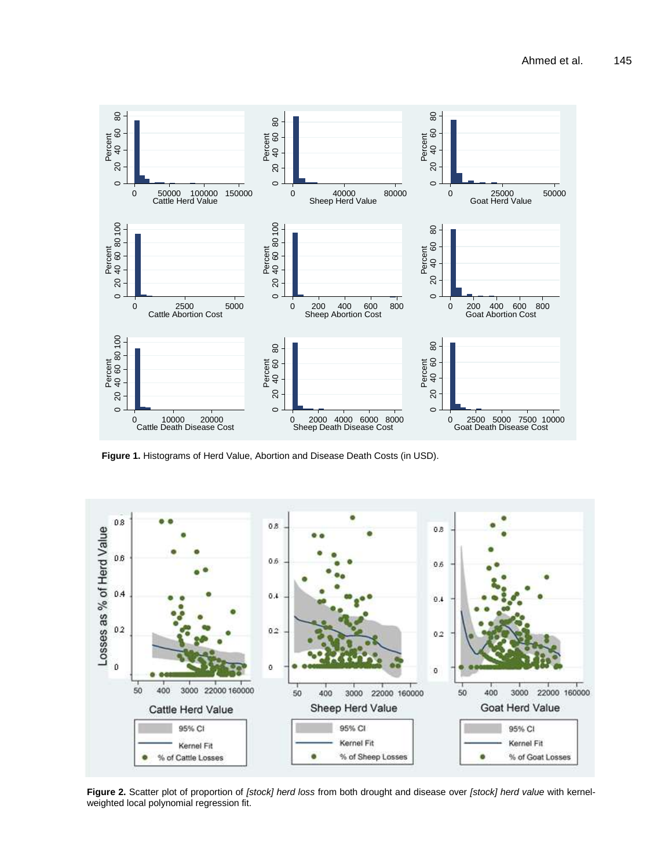

**Figure 1.** Histograms of Herd Value, Abortion and Disease Death Costs (in USD).



**Figure 2.** Scatter plot of proportion of *[stock] herd loss* from both drought and disease over *[stock] herd value* with kernelweighted local polynomial regression fit.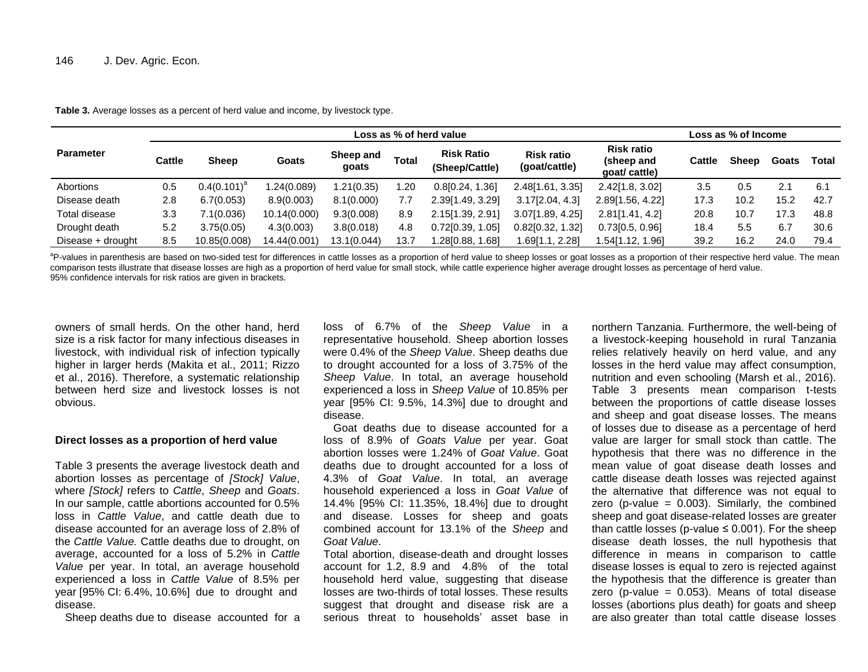|                   | Loss as % of herd value |                  |              |                    |       |                                     |                                    | Loss as % of Income                              |        |              |       |       |
|-------------------|-------------------------|------------------|--------------|--------------------|-------|-------------------------------------|------------------------------------|--------------------------------------------------|--------|--------------|-------|-------|
| <b>Parameter</b>  | Cattle                  | <b>Sheep</b>     | Goats        | Sheep and<br>qoats | Total | <b>Risk Ratio</b><br>(Sheep/Cattle) | <b>Risk ratio</b><br>(goat/cattle) | <b>Risk ratio</b><br>(sheep and<br>qoat/ cattle) | Cattle | <b>Sheep</b> | Goats | Total |
| Abortions         | 0.5                     | $0.4(0.101)^{a}$ | .24(0.089)   | .21(0.35)          | .20   | 0.8[0.24, 1.36]                     | 2.48[1.61, 3.35]                   | 2.42[1.8, 3.02]                                  | 3.5    | 0.5          | .2'   | 6.1   |
| Disease death     | 2.8                     | 6.7(0.053)       | 8.9(0.003)   | 8.1(0.000)         | 7.7   | 2.39[1.49, 3.29]                    | 3.17[2.04, 4.3]                    | 2.89[1.56, 4.22]                                 | 17.3   | 10.2         | 15.2  | 42.7  |
| Total disease     | 3.3                     | 7.1(0.036)       | 10.14(0.000) | 9.3(0.008)         | 8.9   | 2.15[1.39, 2.91]                    | 3.07[1.89, 4.25]                   | 2.81[1.41, 4.2]                                  | 20.8   | 10.7         | 17.3  | 48.8  |
| Drought death     | 5.2                     | 3.75(0.05)       | 4.3(0.003)   | 3.8(0.018)         | 4.8   | 0.72[0.39]<br>1.05                  | 0.82[0.32, 1.32]                   | 0.73[0.5, 0.96]                                  | 18.4   | 5.5          | 6.7   | 30.6  |
| Disease + drought | 8.5                     | 10.85(0.008)     | 14.44(0.001) | 13.1(0.044)        | 13.7  | .28[0.88, 1.68]                     | 1.69[1.1, 2.28]                    | .54[1.12, 1.96]                                  | 39.2   | 16.2         | 24.0  | 79.4  |

**Table 3.** Average losses as a percent of herd value and income, by livestock type.

<sup>a</sup>P-values in parenthesis are based on two-sided test for differences in cattle losses as a proportion of herd value to sheep losses or goat losses as a proportion of their respective herd value. The mean comparison tests illustrate that disease losses are high as a proportion of herd value for small stock, while cattle experience higher average drought losses as percentage of herd value. 95% confidence intervals for risk ratios are given in brackets.

owners of small herds. On the other hand, herd size is a risk factor for many infectious diseases in livestock, with individual risk of infection typically higher in larger herds (Makita et al., 2011; Rizzo et al., 2016). Therefore, a systematic relationship between herd size and livestock losses is not obvious.

#### **Direct losses as a proportion of herd value**

Table 3 presents the average livestock death and abortion losses as percentage of *[Stock] Value*, where *[Stock]* refers to *Cattle*, *Sheep* and *Goats*. In our sample, cattle abortions accounted for 0.5% loss in *Cattle Value*, and cattle death due to disease accounted for an average loss of 2.8% of the *Cattle Value.* Cattle deaths due to drought, on average, accounted for a loss of 5.2% in *Cattle Value* per year. In total, an average household experienced a loss in *Cattle Value* of 8.5% per year [95% CI: 6.4%, 10.6%] due to drought and disease.

Sheep deaths due to disease accounted for a

loss of 6.7% of the *Sheep Value* in a representative household. Sheep abortion losses were 0.4% of the *Sheep Value*. Sheep deaths due to drought accounted for a loss of 3.75% of the *Sheep Value*. In total, an average household experienced a loss in *Sheep Value* of 10.85% per year [95% CI: 9.5%, 14.3%] due to drought and disease.

Goat deaths due to disease accounted for a loss of 8.9% of *Goats Value* per year. Goat abortion losses were 1.24% of *Goat Value*. Goat deaths due to drought accounted for a loss of 4.3% of *Goat Value*. In total, an average household experienced a loss in *Goat Value* of 14.4% [95% CI: 11.35%, 18.4%] due to drought and disease. Losses for sheep and goats combined account for 13.1% of the *Sheep* and *Goat Value*.

Total abortion, disease-death and drought losses account for 1.2, 8.9 and 4.8% of the total household herd value, suggesting that disease losses are two-thirds of total losses. These results suggest that drought and disease risk are a serious threat to households" asset base in northern Tanzania. Furthermore, the well-being of a livestock-keeping household in rural Tanzania relies relatively heavily on herd value, and any losses in the herd value may affect consumption, nutrition and even schooling (Marsh et al., 2016). Table 3 presents mean comparison t-tests between the proportions of cattle disease losses and sheep and goat disease losses. The means of losses due to disease as a percentage of herd value are larger for small stock than cattle. The hypothesis that there was no difference in the mean value of goat disease death losses and cattle disease death losses was rejected against the alternative that difference was not equal to zero (p-value  $= 0.003$ ). Similarly, the combined sheep and goat disease-related losses are greater than cattle losses (p-value  $\leq$  0.001). For the sheep disease death losses, the null hypothesis that difference in means in comparison to cattle disease losses is equal to zero is rejected against the hypothesis that the difference is greater than zero (p-value  $= 0.053$ ). Means of total disease losses (abortions plus death) for goats and sheep are also greater than total cattle disease losses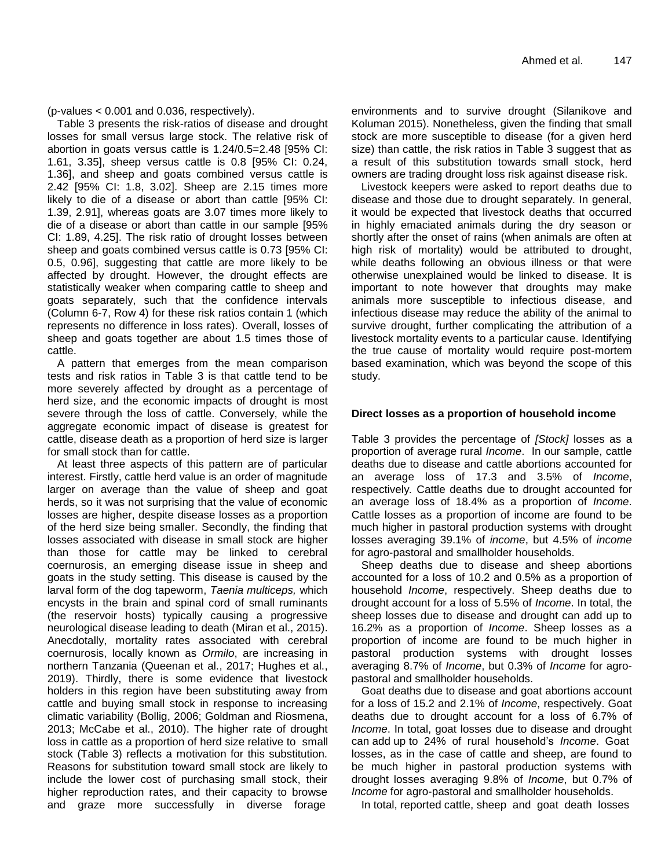$(p\n-values < 0.001$  and 0.036, respectively).

Table 3 presents the risk-ratios of disease and drought losses for small versus large stock. The relative risk of abortion in goats versus cattle is 1.24/0.5=2.48 [95% CI: 1.61, 3.35], sheep versus cattle is 0.8 [95% CI: 0.24, 1.36], and sheep and goats combined versus cattle is 2.42 [95% CI: 1.8, 3.02]. Sheep are 2.15 times more likely to die of a disease or abort than cattle [95% CI: 1.39, 2.91], whereas goats are 3.07 times more likely to die of a disease or abort than cattle in our sample [95% CI: 1.89, 4.25]. The risk ratio of drought losses between sheep and goats combined versus cattle is 0.73 [95% CI: 0.5, 0.96], suggesting that cattle are more likely to be affected by drought. However, the drought effects are statistically weaker when comparing cattle to sheep and goats separately, such that the confidence intervals (Column 6-7, Row 4) for these risk ratios contain 1 (which represents no difference in loss rates). Overall, losses of sheep and goats together are about 1.5 times those of cattle.

A pattern that emerges from the mean comparison tests and risk ratios in Table 3 is that cattle tend to be more severely affected by drought as a percentage of herd size, and the economic impacts of drought is most severe through the loss of cattle. Conversely, while the aggregate economic impact of disease is greatest for cattle, disease death as a proportion of herd size is larger for small stock than for cattle.

At least three aspects of this pattern are of particular interest. Firstly, cattle herd value is an order of magnitude larger on average than the value of sheep and goat herds, so it was not surprising that the value of economic losses are higher, despite disease losses as a proportion of the herd size being smaller. Secondly, the finding that losses associated with disease in small stock are higher than those for cattle may be linked to cerebral coernurosis, an emerging disease issue in sheep and goats in the study setting. This disease is caused by the larval form of the dog tapeworm, *Taenia multiceps,* which encysts in the brain and spinal cord of small ruminants (the reservoir hosts) typically causing a progressive neurological disease leading to death (Miran et al., 2015). Anecdotally, mortality rates associated with cerebral coernurosis, locally known as *Ormilo*, are increasing in northern Tanzania (Queenan et al., 2017; Hughes et al., 2019). Thirdly, there is some evidence that livestock holders in this region have been substituting away from cattle and buying small stock in response to increasing climatic variability (Bollig, 2006; Goldman and Riosmena, 2013; McCabe et al., 2010). The higher rate of drought loss in cattle as a proportion of herd size relative to small stock (Table 3) reflects a motivation for this substitution. Reasons for substitution toward small stock are likely to include the lower cost of purchasing small stock, their higher reproduction rates, and their capacity to browse and graze more successfully in diverse forage

environments and to survive drought (Silanikove and Koluman 2015). Nonetheless, given the finding that small stock are more susceptible to disease (for a given herd size) than cattle, the risk ratios in Table 3 suggest that as a result of this substitution towards small stock, herd owners are trading drought loss risk against disease risk.

Livestock keepers were asked to report deaths due to disease and those due to drought separately. In general, it would be expected that livestock deaths that occurred in highly emaciated animals during the dry season or shortly after the onset of rains (when animals are often at high risk of mortality) would be attributed to drought, while deaths following an obvious illness or that were otherwise unexplained would be linked to disease. It is important to note however that droughts may make animals more susceptible to infectious disease, and infectious disease may reduce the ability of the animal to survive drought, further complicating the attribution of a livestock mortality events to a particular cause. Identifying the true cause of mortality would require post-mortem based examination, which was beyond the scope of this study.

# **Direct losses as a proportion of household income**

Table 3 provides the percentage of *[Stock]* losses as a proportion of average rural *Income*. In our sample, cattle deaths due to disease and cattle abortions accounted for an average loss of 17.3 and 3.5% of *Income*, respectively*.* Cattle deaths due to drought accounted for an average loss of 18.4% as a proportion of *Income*. Cattle losses as a proportion of income are found to be much higher in pastoral production systems with drought losses averaging 39.1% of *income*, but 4.5% of *income* for agro-pastoral and smallholder households.

Sheep deaths due to disease and sheep abortions accounted for a loss of 10.2 and 0.5% as a proportion of household *Income*, respectively. Sheep deaths due to drought account for a loss of 5.5% of *Income*. In total, the sheep losses due to disease and drought can add up to 16.2% as a proportion of *Income*. Sheep losses as a proportion of income are found to be much higher in pastoral production systems with drought losses averaging 8.7% of *Income*, but 0.3% of *Income* for agropastoral and smallholder households.

Goat deaths due to disease and goat abortions account for a loss of 15.2 and 2.1% of *Income*, respectively. Goat deaths due to drought account for a loss of 6.7% of *Income*. In total, goat losses due to disease and drought can add up to 24% of rural household"s *Income*. Goat losses, as in the case of cattle and sheep, are found to be much higher in pastoral production systems with drought losses averaging 9.8% of *Income*, but 0.7% of *Income* for agro-pastoral and smallholder households.

In total, reported cattle, sheep and goat death losses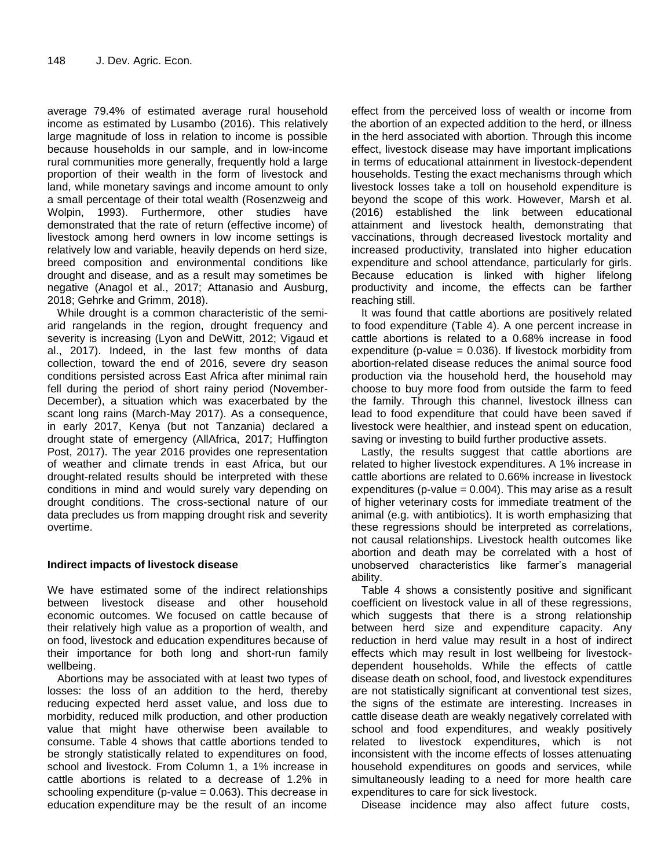average 79.4% of estimated average rural household income as estimated by Lusambo (2016). This relatively large magnitude of loss in relation to income is possible because households in our sample, and in low-income rural communities more generally, frequently hold a large proportion of their wealth in the form of livestock and land, while monetary savings and income amount to only a small percentage of their total wealth (Rosenzweig and Wolpin, 1993). Furthermore, other studies have demonstrated that the rate of return (effective income) of livestock among herd owners in low income settings is relatively low and variable, heavily depends on herd size, breed composition and environmental conditions like drought and disease, and as a result may sometimes be negative (Anagol et al., 2017; Attanasio and Ausburg, 2018; Gehrke and Grimm, 2018).

While drought is a common characteristic of the semiarid rangelands in the region, drought frequency and severity is increasing (Lyon and DeWitt, 2012; Vigaud et al., 2017). Indeed, in the last few months of data collection, toward the end of 2016, severe dry season conditions persisted across East Africa after minimal rain fell during the period of short rainy period (November-December), a situation which was exacerbated by the scant long rains (March-May 2017). As a consequence, in early 2017, Kenya (but not Tanzania) declared a drought state of emergency (AllAfrica, 2017; Huffington Post, 2017). The year 2016 provides one representation of weather and climate trends in east Africa, but our drought-related results should be interpreted with these conditions in mind and would surely vary depending on drought conditions. The cross-sectional nature of our data precludes us from mapping drought risk and severity overtime.

# **Indirect impacts of livestock disease**

We have estimated some of the indirect relationships between livestock disease and other household economic outcomes. We focused on cattle because of their relatively high value as a proportion of wealth, and on food, livestock and education expenditures because of their importance for both long and short-run family wellbeing.

Abortions may be associated with at least two types of losses: the loss of an addition to the herd, thereby reducing expected herd asset value, and loss due to morbidity, reduced milk production, and other production value that might have otherwise been available to consume. Table 4 shows that cattle abortions tended to be strongly statistically related to expenditures on food, school and livestock. From Column 1, a 1% increase in cattle abortions is related to a decrease of 1.2% in schooling expenditure (p-value  $= 0.063$ ). This decrease in education expenditure may be the result of an income effect from the perceived loss of wealth or income from the abortion of an expected addition to the herd, or illness in the herd associated with abortion. Through this income effect, livestock disease may have important implications in terms of educational attainment in livestock-dependent households. Testing the exact mechanisms through which livestock losses take a toll on household expenditure is beyond the scope of this work. However, Marsh et al. (2016) established the link between educational attainment and livestock health, demonstrating that vaccinations, through decreased livestock mortality and increased productivity, translated into higher education expenditure and school attendance, particularly for girls. Because education is linked with higher lifelong productivity and income, the effects can be farther reaching still.

It was found that cattle abortions are positively related to food expenditure (Table 4). A one percent increase in cattle abortions is related to a 0.68% increase in food expenditure (p-value  $= 0.036$ ). If livestock morbidity from abortion-related disease reduces the animal source food production via the household herd, the household may choose to buy more food from outside the farm to feed the family. Through this channel, livestock illness can lead to food expenditure that could have been saved if livestock were healthier, and instead spent on education, saving or investing to build further productive assets.

Lastly, the results suggest that cattle abortions are related to higher livestock expenditures. A 1% increase in cattle abortions are related to 0.66% increase in livestock expenditures (p-value  $= 0.004$ ). This may arise as a result of higher veterinary costs for immediate treatment of the animal (e.g. with antibiotics). It is worth emphasizing that these regressions should be interpreted as correlations, not causal relationships. Livestock health outcomes like abortion and death may be correlated with a host of unobserved characteristics like farmer"s managerial ability.

Table 4 shows a consistently positive and significant coefficient on livestock value in all of these regressions, which suggests that there is a strong relationship between herd size and expenditure capacity. Any reduction in herd value may result in a host of indirect effects which may result in lost wellbeing for livestockdependent households. While the effects of cattle disease death on school, food, and livestock expenditures are not statistically significant at conventional test sizes, the signs of the estimate are interesting. Increases in cattle disease death are weakly negatively correlated with school and food expenditures, and weakly positively related to livestock expenditures, which is not inconsistent with the income effects of losses attenuating household expenditures on goods and services, while simultaneously leading to a need for more health care expenditures to care for sick livestock.

Disease incidence may also affect future costs,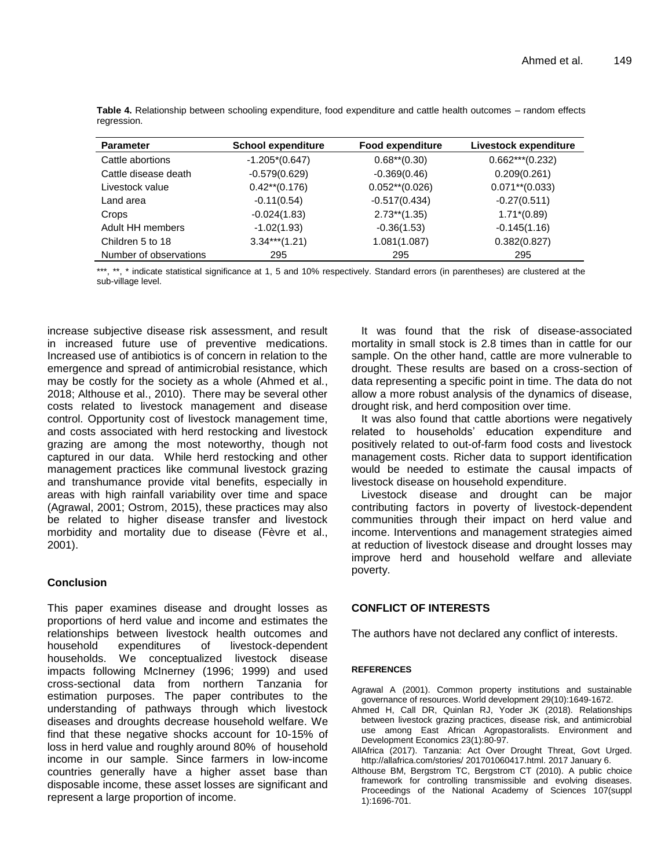| Table 4. Relationship between schooling expenditure, food expenditure and cattle health outcomes – random effects |  |  |  |
|-------------------------------------------------------------------------------------------------------------------|--|--|--|
| regression.                                                                                                       |  |  |  |

| <b>Parameter</b>       | <b>School expenditure</b> | <b>Food expenditure</b> | Livestock expenditure |
|------------------------|---------------------------|-------------------------|-----------------------|
| Cattle abortions       | $-1.205*(0.647)$          | $0.68**$ (0.30)         | $0.662***(0.232)$     |
| Cattle disease death   | $-0.579(0.629)$           | $-0.369(0.46)$          | 0.209(0.261)          |
| Livestock value        | $0.42**$ (0.176)          | $0.052**$ (0.026)       | $0.071**$ (0.033)     |
| Land area              | $-0.11(0.54)$             | $-0.517(0.434)$         | $-0.27(0.511)$        |
| Crops                  | $-0.024(1.83)$            | $2.73**$ (1.35)         | $1.71*(0.89)$         |
| Adult HH members       | $-1.02(1.93)$             | $-0.36(1.53)$           | $-0.145(1.16)$        |
| Children 5 to 18       | $3.34***(1.21)$           | 1.081(1.087)            | 0.382(0.827)          |
| Number of observations | 295                       | 295                     | 295                   |

\*\*\*, \*\*, \* indicate statistical significance at 1, 5 and 10% respectively. Standard errors (in parentheses) are clustered at the sub-village level.

increase subjective disease risk assessment, and result in increased future use of preventive medications. Increased use of antibiotics is of concern in relation to the emergence and spread of antimicrobial resistance, which may be costly for the society as a whole (Ahmed et al., 2018; Althouse et al., 2010). There may be several other costs related to livestock management and disease control. Opportunity cost of livestock management time, and costs associated with herd restocking and livestock grazing are among the most noteworthy, though not captured in our data. While herd restocking and other management practices like communal livestock grazing and transhumance provide vital benefits, especially in areas with high rainfall variability over time and space (Agrawal, 2001; Ostrom, 2015), these practices may also be related to higher disease transfer and livestock morbidity and mortality due to disease (Fèvre et al., 2001).

## **Conclusion**

This paper examines disease and drought losses as proportions of herd value and income and estimates the relationships between livestock health outcomes and household expenditures of livestock-dependent households. We conceptualized livestock disease impacts following McInerney (1996; 1999) and used cross-sectional data from northern Tanzania for estimation purposes. The paper contributes to the understanding of pathways through which livestock diseases and droughts decrease household welfare. We find that these negative shocks account for 10-15% of loss in herd value and roughly around 80% of household income in our sample. Since farmers in low-income countries generally have a higher asset base than disposable income, these asset losses are significant and represent a large proportion of income.

It was found that the risk of disease-associated mortality in small stock is 2.8 times than in cattle for our sample. On the other hand, cattle are more vulnerable to drought. These results are based on a cross-section of data representing a specific point in time. The data do not allow a more robust analysis of the dynamics of disease, drought risk, and herd composition over time.

It was also found that cattle abortions were negatively related to households" education expenditure and positively related to out-of-farm food costs and livestock management costs. Richer data to support identification would be needed to estimate the causal impacts of livestock disease on household expenditure.

Livestock disease and drought can be major contributing factors in poverty of livestock-dependent communities through their impact on herd value and income. Interventions and management strategies aimed at reduction of livestock disease and drought losses may improve herd and household welfare and alleviate poverty.

# **CONFLICT OF INTERESTS**

The authors have not declared any conflict of interests.

## **REFERENCES**

- Agrawal A (2001). Common property institutions and sustainable governance of resources. World development 29(10):1649-1672.
- Ahmed H, Call DR, Quinlan RJ, Yoder JK (2018). Relationships between livestock grazing practices, disease risk, and antimicrobial use among East African Agropastoralists. Environment and Development Economics 23(1):80-97.
- AllAfrica (2017). Tanzania: Act Over Drought Threat, Govt Urged. [http://allafrica.com/stories/ 201701060417.html.](http://allafrica.com/stories/%20201701060417.html) 2017 January 6.
- Althouse BM, Bergstrom TC, Bergstrom CT (2010). A public choice framework for controlling transmissible and evolving diseases. Proceedings of the National Academy of Sciences 107(suppl 1):1696-701.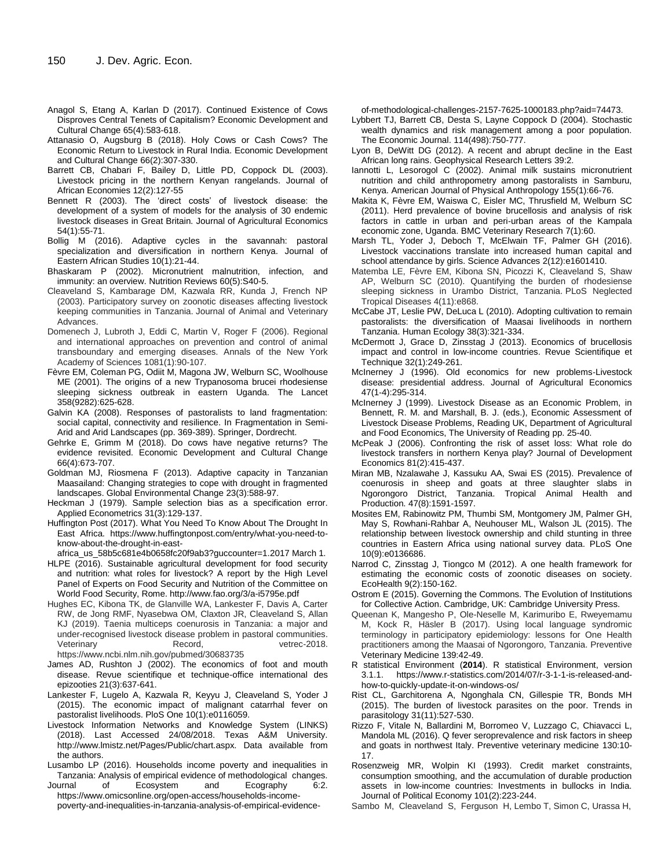- Anagol S, Etang A, Karlan D (2017). Continued Existence of Cows Disproves Central Tenets of Capitalism? Economic Development and Cultural Change 65(4):583-618.
- Attanasio O, Augsburg B (2018). Holy Cows or Cash Cows? The Economic Return to Livestock in Rural India. Economic Development and Cultural Change 66(2):307-330.
- Barrett CB, Chabari F, Bailey D, Little PD, Coppock DL (2003). Livestock pricing in the northern Kenyan rangelands. Journal of African Economies 12(2):127-55
- Bennett R (2003). The "direct costs" of livestock disease: the development of a system of models for the analysis of 30 endemic livestock diseases in Great Britain. Journal of Agricultural Economics 54(1):55-71.
- Bollig M (2016). Adaptive cycles in the savannah: pastoral specialization and diversification in northern Kenya. Journal of Eastern African Studies 10(1):21-44.
- Bhaskaram P (2002). Micronutrient malnutrition, infection, and immunity: an overview. Nutrition Reviews 60(5):S40-5.
- Cleaveland S, Kambarage DM, Kazwala RR, Kunda J, French NP (2003). Participatory survey on zoonotic diseases affecting livestock keeping communities in Tanzania. Journal of Animal and Veterinary Advances.
- Domenech J, Lubroth J, Eddi C, Martin V, Roger F (2006). Regional and international approaches on prevention and control of animal transboundary and emerging diseases. Annals of the New York Academy of Sciences 1081(1):90-107.
- Fèvre EM, Coleman PG, Odiit M, Magona JW, Welburn SC, Woolhouse ME (2001). The origins of a new Trypanosoma brucei rhodesiense sleeping sickness outbreak in eastern Uganda. The Lancet 358(9282):625-628.
- Galvin KA (2008). Responses of pastoralists to land fragmentation: social capital, connectivity and resilience. In Fragmentation in Semi-Arid and Arid Landscapes (pp. 369-389). Springer, Dordrecht.
- Gehrke E, Grimm M (2018). Do cows have negative returns? The evidence revisited. Economic Development and Cultural Change 66(4):673-707.
- Goldman MJ, Riosmena F (2013). Adaptive capacity in Tanzanian Maasailand: Changing strategies to cope with drought in fragmented landscapes. Global Environmental Change 23(3):588-97.
- Heckman J (1979). Sample selection bias as a specification error. Applied Econometrics 31(3):129-137.
- Huffington Post (2017). What You Need To Know About The Drought In East Africa. https://www.huffingtonpost.com/entry/what-you-need-toknow-about-the-drought-in-east-

africa\_us\_58b5c681e4b0658fc20f9ab3?guccounter=1.2017 March 1.

- HLPE (2016). Sustainable agricultural development for food security and nutrition: what roles for livestock? A report by the High Level Panel of Experts on Food Security and Nutrition of the Committee on World Food Security, Rome. http://www.fao.org/3/a-i5795e.pdf
- Hughes EC, Kibona TK, de Glanville WA, Lankester F, Davis A, Carter RW, de Jong RMF, Nyasebwa OM, Claxton JR, Cleaveland S, Allan KJ (2019). Taenia multiceps coenurosis in Tanzania: a major and under-recognised livestock disease problem in pastoral communities. Veterinary Record, vetrec-2018. https://www.ncbi.nlm.nih.gov/pubmed/30683735
- James AD, Rushton J (2002). The economics of foot and mouth disease. Revue scientifique et technique-office international des epizooties 21(3):637-641.
- Lankester F, Lugelo A, Kazwala R, Keyyu J, Cleaveland S, Yoder J (2015). The economic impact of malignant catarrhal fever on pastoralist livelihoods. PloS One 10(1):e0116059.
- Livestock Information Networks and Knowledge System (LINKS) (2018). Last Accessed 24/08/2018. Texas A&M University. http://www.lmistz.net/Pages/Public/chart.aspx. Data available from the authors.
- Lusambo LP (2016). Households income poverty and inequalities in Tanzania: Analysis of empirical evidence of methodological changes.
- Journal of Ecosystem and Ecography 6:2. https://www.omicsonline.org/open-access/households-incomepoverty-and-inequalities-in-tanzania-analysis-of-empirical-evidence-

of-methodological-challenges-2157-7625-1000183.php?aid=74473.

- Lybbert TJ, Barrett CB, Desta S, Layne Coppock D (2004). Stochastic wealth dynamics and risk management among a poor population. The Economic Journal. 114(498):750-777.
- Lyon B, DeWitt DG (2012). A recent and abrupt decline in the East African long rains. Geophysical Research Letters 39:2.
- Iannotti L, Lesorogol C (2002). Animal milk sustains micronutrient nutrition and child anthropometry among pastoralists in Samburu, Kenya. American Journal of Physical Anthropology 155(1):66-76.
- Makita K, Fèvre EM, Waiswa C, Eisler MC, Thrusfield M, Welburn SC (2011). Herd prevalence of bovine brucellosis and analysis of risk factors in cattle in urban and peri-urban areas of the Kampala economic zone, Uganda. BMC Veterinary Research 7(1):60.
- Marsh TL, Yoder J, Deboch T, McElwain TF, Palmer GH (2016). Livestock vaccinations translate into increased human capital and school attendance by girls. Science Advances 2(12):e1601410.
- Matemba LE, Fèvre EM, Kibona SN, Picozzi K, Cleaveland S, Shaw AP, Welburn SC (2010). Quantifying the burden of rhodesiense sleeping sickness in Urambo District, Tanzania. PLoS Neglected Tropical Diseases 4(11):e868.
- McCabe JT, Leslie PW, DeLuca L (2010). Adopting cultivation to remain pastoralists: the diversification of Maasai livelihoods in northern Tanzania. Human Ecology 38(3):321-334.
- McDermott J, Grace D, Zinsstag J (2013). Economics of brucellosis impact and control in low-income countries. Revue Scientifique et Technique 32(1):249-261.
- McInerney J (1996). Old economics for new problems‐Livestock disease: presidential address. Journal of Agricultural Economics 47(1‐4):295-314.
- McInerney J (1999). Livestock Disease as an Economic Problem, in Bennett, R. M. and Marshall, B. J. (eds.), Economic Assessment of Livestock Disease Problems, Reading UK, Department of Agricultural and Food Economics, The University of Reading pp. 25-40.
- McPeak J (2006). Confronting the risk of asset loss: What role do livestock transfers in northern Kenya play? Journal of Development Economics 81(2):415-437.
- Miran MB, Nzalawahe J, Kassuku AA, Swai ES (2015). Prevalence of coenurosis in sheep and goats at three slaughter slabs in Ngorongoro District, Tanzania. Tropical Animal Health and Production. 47(8):1591-1597.
- Mosites EM, Rabinowitz PM, Thumbi SM, Montgomery JM, Palmer GH, May S, Rowhani-Rahbar A, Neuhouser ML, Walson JL (2015). The relationship between livestock ownership and child stunting in three countries in Eastern Africa using national survey data. PLoS One 10(9):e0136686.
- Narrod C, Zinsstag J, Tiongco M (2012). A one health framework for estimating the economic costs of zoonotic diseases on society. EcoHealth 9(2):150-162.
- Ostrom E (2015). Governing the Commons. The Evolution of Institutions for Collective Action. Cambridge, UK: Cambridge University Press.
- Queenan K, Mangesho P, Ole-Neselle M, Karimuribo E, Rweyemamu M, Kock R, Häsler B (2017). Using local language syndromic terminology in participatory epidemiology: lessons for One Health practitioners among the Maasai of Ngorongoro, Tanzania. Preventive Veterinary Medicine 139:42-49.
- R statistical Environment (**2014**). R statistical Environment, version 3.1.1. https://www.r-statistics.com/2014/07/r-3-1-1-is-released-andhow-to-quickly-update-it-on-windows-os/
- Rist CL, Garchitorena A, Ngonghala CN, Gillespie TR, Bonds MH (2015). The burden of livestock parasites on the poor. Trends in parasitology 31(11):527-530.
- Rizzo F, Vitale N, Ballardini M, Borromeo V, Luzzago C, Chiavacci L, Mandola ML (2016). Q fever seroprevalence and risk factors in sheep and goats in northwest Italy. Preventive veterinary medicine 130:10- 17.
- Rosenzweig MR, Wolpin KI (1993). Credit market constraints, consumption smoothing, and the accumulation of durable production assets in low-income countries: Investments in bullocks in India. Journal of Political Economy 101(2):223-244.
- Sambo M, Cleaveland S, Ferguson H, Lembo T, Simon C, Urassa H,